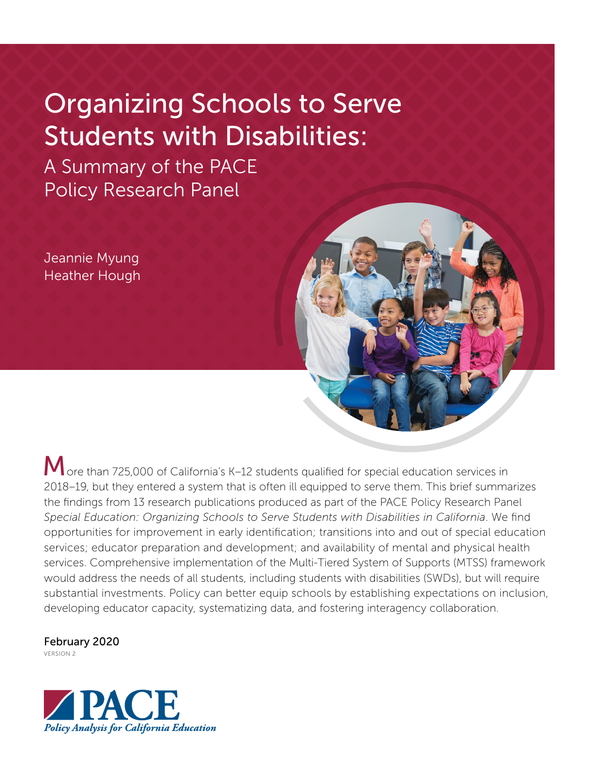# Organizing Schools to Serve Students with Disabilities:

A Summary of the PACE Policy Research Panel

Jeannie Myung Heather Hough

M ore than 725,000 of California's K-12 students qualified for special education services in 2018–19, but they entered a system that is often ill equipped to serve them. This brief summarizes the findings from 13 research publications produced as part of the PACE Policy Research Panel *Special Education: Organizing Schools to Serve Students with Disabilities in California*. We find opportunities for improvement in early identification; transitions into and out of special education services; educator preparation and development; and availability of mental and physical health services. Comprehensive implementation of the Multi-Tiered System of Supports (MTSS) framework would address the needs of all students, including students with disabilities (SWDs), but will require substantial investments. Policy can better equip schools by establishing expectations on inclusion, developing educator capacity, systematizing data, and fostering interagency collaboration.

February 2020

VERSION 2

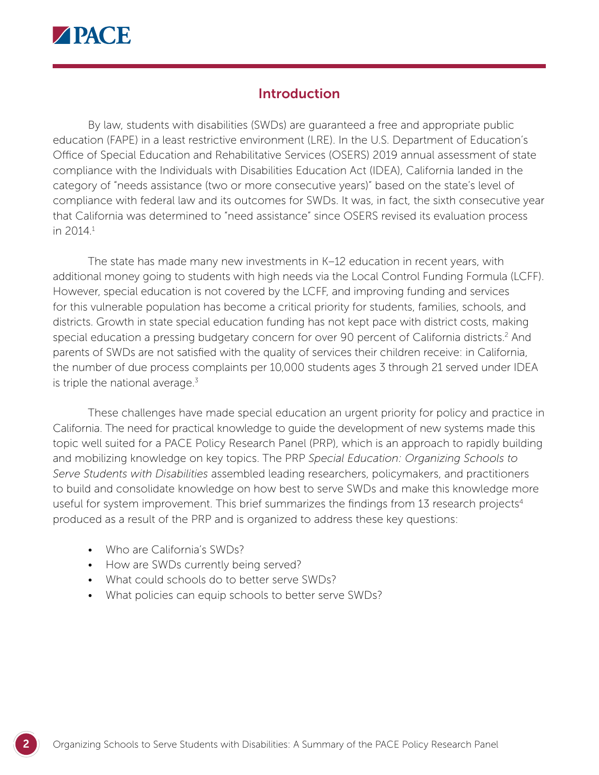

# **Introduction**

By law, students with disabilities (SWDs) are guaranteed a free and appropriate public education (FAPE) in a least restrictive environment (LRE). In the U.S. Department of Education's Office of Special Education and Rehabilitative Services (OSERS) 2019 annual assessment of state compliance with the Individuals with Disabilities Education Act (IDEA), California landed in the category of "needs assistance (two or more consecutive years)" based on the state's level of compliance with federal law and its outcomes for SWDs. It was, in fact, the sixth consecutive year that California was determined to "need assistance" since OSERS revised its evaluation process in 2014.1

The state has made many new investments in K–12 education in recent years, with additional money going to students with high needs via the Local Control Funding Formula (LCFF). However, special education is not covered by the LCFF, and improving funding and services for this vulnerable population has become a critical priority for students, families, schools, and districts. Growth in state special education funding has not kept pace with district costs, making special education a pressing budgetary concern for over 90 percent of California districts.<sup>2</sup> And parents of SWDs are not satisfied with the quality of services their children receive: in California, the number of due process complaints per 10,000 students ages 3 through 21 served under IDEA is triple the national average. $3$ 

These challenges have made special education an urgent priority for policy and practice in California. The need for practical knowledge to guide the development of new systems made this topic well suited for a PACE Policy Research Panel (PRP), which is an approach to rapidly building and mobilizing knowledge on key topics. The PRP *Special Education: Organizing Schools to Serve Students with Disabilities* assembled leading researchers, policymakers, and practitioners to build and consolidate knowledge on how best to serve SWDs and make this knowledge more useful for system improvement. This brief summarizes the findings from 13 research projects<sup>4</sup> produced as a result of the PRP and is organized to address these key questions:

- Who are California's SWDs?
- How are SWDs currently being served?
- What could schools do to better serve SWDs?
- What policies can equip schools to better serve SWDs?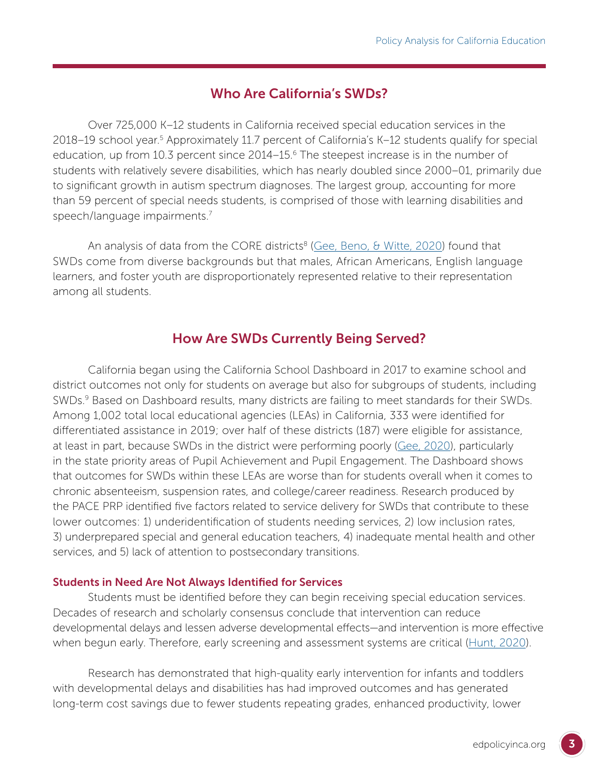# Who Are California's SWDs?

Over 725,000 K–12 students in California received special education services in the 2018–19 school year.<sup>5</sup> Approximately 11.7 percent of California's K–12 students qualify for special education, up from 10.3 percent since 2014–15.<sup>6</sup> The steepest increase is in the number of students with relatively severe disabilities, which has nearly doubled since 2000–01, primarily due to significant growth in autism spectrum diagnoses. The largest group, accounting for more than 59 percent of special needs students, is comprised of those with learning disabilities and speech/language impairments.7

An analysis of data from the CORE districts<sup>8</sup> ([Gee, Beno, & Witte, 2020](https://edpolicyinca.org/publications/students-disabilities-core-districts)) found that SWDs come from diverse backgrounds but that males, African Americans, English language learners, and foster youth are disproportionately represented relative to their representation among all students.

# How Are SWDs Currently Being Served?

California began using the California School Dashboard in 2017 to examine school and district outcomes not only for students on average but also for subgroups of students, including SWDs.<sup>9</sup> Based on Dashboard results, many districts are failing to meet standards for their SWDs. Among 1,002 total local educational agencies (LEAs) in California, 333 were identified for differentiated assistance in 2019; over half of these districts (187) were eligible for assistance, at least in part, because SWDs in the district were performing poorly [\(Gee, 2020](https://edpolicyinca.org/publications/students-disabilities-and-differentiated-assistance)), particularly in the state priority areas of Pupil Achievement and Pupil Engagement. The Dashboard shows that outcomes for SWDs within these LEAs are worse than for students overall when it comes to chronic absenteeism, suspension rates, and college/career readiness. Research produced by the PACE PRP identified five factors related to service delivery for SWDs that contribute to these lower outcomes: 1) underidentification of students needing services, 2) low inclusion rates, 3) underprepared special and general education teachers, 4) inadequate mental health and other services, and 5) lack of attention to postsecondary transitions.

#### Students in Need Are Not Always Identified for Services

Students must be identified before they can begin receiving special education services. Decades of research and scholarly consensus conclude that intervention can reduce developmental delays and lessen adverse developmental effects—and intervention is more effective when begun early. Therefore, early screening and assessment systems are critical [\(Hunt, 2020\)](https://edpolicyinca.org/publications/identifying-young-children-early-intervention-california).

Research has demonstrated that high-quality early intervention for infants and toddlers with developmental delays and disabilities has had improved outcomes and has generated long-term cost savings due to fewer students repeating grades, enhanced productivity, lower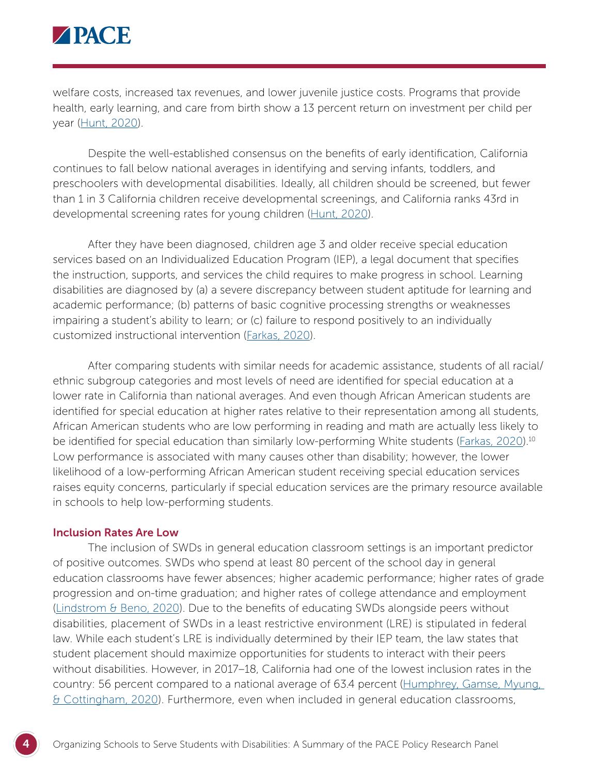

welfare costs, increased tax revenues, and lower juvenile justice costs. Programs that provide health, early learning, and care from birth show a 13 percent return on investment per child per year [\(Hunt, 2020\)](https://edpolicyinca.org/publications/identifying-young-children-early-intervention-california).

Despite the well-established consensus on the benefits of early identification, California continues to fall below national averages in identifying and serving infants, toddlers, and preschoolers with developmental disabilities. Ideally, all children should be screened, but fewer than 1 in 3 California children receive developmental screenings, and California ranks 43rd in developmental screening rates for young children [\(Hunt, 2020](https://edpolicyinca.org/publications/identifying-young-children-early-intervention-california)).

After they have been diagnosed, children age 3 and older receive special education services based on an Individualized Education Program (IEP), a legal document that specifies the instruction, supports, and services the child requires to make progress in school. Learning disabilities are diagnosed by (a) a severe discrepancy between student aptitude for learning and academic performance; (b) patterns of basic cognitive processing strengths or weaknesses impairing a student's ability to learn; or (c) failure to respond positively to an individually customized instructional intervention [\(Farkas, 2020](https://edpolicyinca.org/publications/achievement-gaps-and-MTSS)).

After comparing students with similar needs for academic assistance, students of all racial/ ethnic subgroup categories and most levels of need are identified for special education at a lower rate in California than national averages. And even though African American students are identified for special education at higher rates relative to their representation among all students, African American students who are low performing in reading and math are actually less likely to be identified for special education than similarly low-performing White students ([Farkas, 2020\)](https://edpolicyinca.org/publications/achievement-gaps-and-MTSS).<sup>10</sup> Low performance is associated with many causes other than disability; however, the lower likelihood of a low-performing African American student receiving special education services raises equity concerns, particularly if special education services are the primary resource available in schools to help low-performing students.

#### Inclusion Rates Are Low

The inclusion of SWDs in general education classroom settings is an important predictor of positive outcomes. SWDs who spend at least 80 percent of the school day in general education classrooms have fewer absences; higher academic performance; higher rates of grade progression and on-time graduation; and higher rates of college attendance and employment [\(Lindstrom & Beno, 2020](https://edpolicyinca.org/publications/promoting-successful-transitions-students-disabilities)). Due to the benefits of educating SWDs alongside peers without disabilities, placement of SWDs in a least restrictive environment (LRE) is stipulated in federal law. While each student's LRE is individually determined by their IEP team, the law states that student placement should maximize opportunities for students to interact with their peers without disabilities. However, in 2017–18, California had one of the lowest inclusion rates in the country: 56 percent compared to a national average of 63.4 percent [\(Humphrey, Gamse, Myung,](https://edpolicyinca.org/publications/what-california-can-learn-other-states)  [& Cottingham, 2020\)](https://edpolicyinca.org/publications/what-california-can-learn-other-states). Furthermore, even when included in general education classrooms,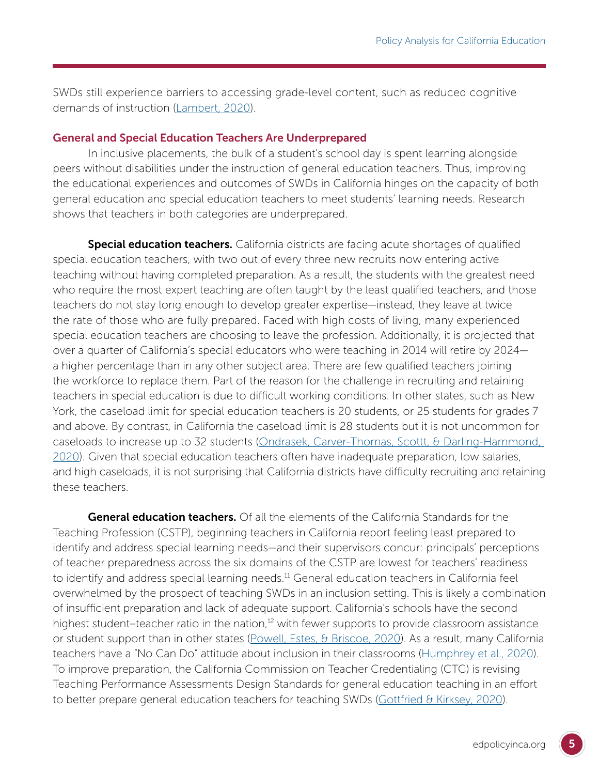SWDs still experience barriers to accessing grade-level content, such as reduced cognitive demands of instruction [\(Lambert, 2020\)](https://edpolicyinca.org/publications/increasing-access-universally-designed-mathematics-classrooms).

#### General and Special Education Teachers Are Underprepared

In inclusive placements, the bulk of a student's school day is spent learning alongside peers without disabilities under the instruction of general education teachers. Thus, improving the educational experiences and outcomes of SWDs in California hinges on the capacity of both general education and special education teachers to meet students' learning needs. Research shows that teachers in both categories are underprepared.

Special education teachers. California districts are facing acute shortages of qualified special education teachers, with two out of every three new recruits now entering active teaching without having completed preparation. As a result, the students with the greatest need who require the most expert teaching are often taught by the least qualified teachers, and those teachers do not stay long enough to develop greater expertise—instead, they leave at twice the rate of those who are fully prepared. Faced with high costs of living, many experienced special education teachers are choosing to leave the profession. Additionally, it is projected that over a quarter of California's special educators who were teaching in 2014 will retire by 2024 a higher percentage than in any other subject area. There are few qualified teachers joining the workforce to replace them. Part of the reason for the challenge in recruiting and retaining teachers in special education is due to difficult working conditions. In other states, such as New York, the caseload limit for special education teachers is 20 students, or 25 students for grades 7 and above. By contrast, in California the caseload limit is 28 students but it is not uncommon for caseloads to increase up to 32 students ([Ondrasek, Carver-Thomas, Scottt, & Darling-Hammond,](https://edpolicyinca.org/publications/californias-special-education-teacher-shortage)  [2020](https://edpolicyinca.org/publications/californias-special-education-teacher-shortage)). Given that special education teachers often have inadequate preparation, low salaries, and high caseloads, it is not surprising that California districts have difficulty recruiting and retaining these teachers.

**General education teachers.** Of all the elements of the California Standards for the Teaching Profession (CSTP), beginning teachers in California report feeling least prepared to identify and address special learning needs—and their supervisors concur: principals' perceptions of teacher preparedness across the six domains of the CSTP are lowest for teachers' readiness to identify and address special learning needs.<sup>11</sup> General education teachers in California feel overwhelmed by the prospect of teaching SWDs in an inclusion setting. This is likely a combination of insufficient preparation and lack of adequate support. California's schools have the second highest student–teacher ratio in the nation, $12$  with fewer supports to provide classroom assistance or student support than in other states ([Powell, Estes, & Briscoe, 2020\)](https://edpolicyinca.org/publications/realizing-one-integrated-system-care-children). As a result, many California teachers have a "No Can Do" attitude about inclusion in their classrooms [\(Humphrey et al., 2020](https://edpolicyinca.org/publications/what-california-can-learn-other-states)). To improve preparation, the California Commission on Teacher Credentialing (CTC) is revising Teaching Performance Assessments Design Standards for general education teaching in an effort to better prepare general education teachers for teaching SWDs ([Gottfried & Kirksey, 2020\)](https://edpolicyinca.org/publications/preparing-teachers-educate-students-learning-disabilities).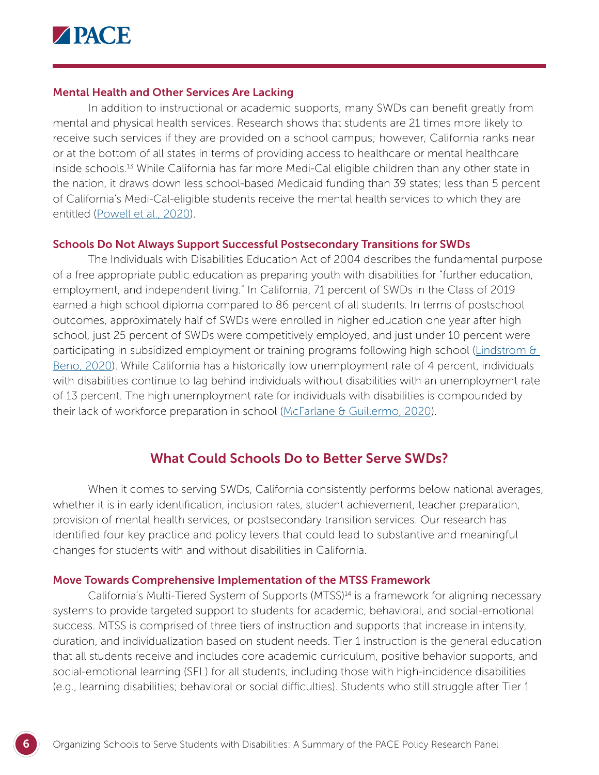

#### Mental Health and Other Services Are Lacking

In addition to instructional or academic supports, many SWDs can benefit greatly from mental and physical health services. Research shows that students are 21 times more likely to receive such services if they are provided on a school campus; however, California ranks near or at the bottom of all states in terms of providing access to healthcare or mental healthcare inside schools.13 While California has far more Medi-Cal eligible children than any other state in the nation, it draws down less school-based Medicaid funding than 39 states; less than 5 percent of California's Medi-Cal-eligible students receive the mental health services to which they are entitled ([Powell et al., 2020](https://edpolicyinca.org/publications/realizing-one-integrated-system-care-children)).

#### Schools Do Not Always Support Successful Postsecondary Transitions for SWDs

The Individuals with Disabilities Education Act of 2004 describes the fundamental purpose of a free appropriate public education as preparing youth with disabilities for "further education, employment, and independent living." In California, 71 percent of SWDs in the Class of 2019 earned a high school diploma compared to 86 percent of all students. In terms of postschool outcomes, approximately half of SWDs were enrolled in higher education one year after high school, just 25 percent of SWDs were competitively employed, and just under 10 percent were participating in subsidized employment or training programs following high school [\(Lindstrom &](https://edpolicyinca.org/publications/promoting-successful-transitions-students-disabilitiesz)  [Beno, 2020](https://edpolicyinca.org/publications/promoting-successful-transitions-students-disabilitiesz)). While California has a historically low unemployment rate of 4 percent, individuals with disabilities continue to lag behind individuals without disabilities with an unemployment rate of 13 percent. The high unemployment rate for individuals with disabilities is compounded by their lack of workforce preparation in school ([McFarlane & Guillermo, 2020\)](https://edpolicyinca.org/publications/work-based-learning-students-disabilities).

### What Could Schools Do to Better Serve SWDs?

When it comes to serving SWDs, California consistently performs below national averages, whether it is in early identification, inclusion rates, student achievement, teacher preparation, provision of mental health services, or postsecondary transition services. Our research has identified four key practice and policy levers that could lead to substantive and meaningful changes for students with and without disabilities in California.

#### Move Towards Comprehensive Implementation of the MTSS Framework

California's Multi-Tiered System of Supports (MTSS)<sup>14</sup> is a framework for aligning necessary systems to provide targeted support to students for academic, behavioral, and social-emotional success. MTSS is comprised of three tiers of instruction and supports that increase in intensity, duration, and individualization based on student needs. Tier 1 instruction is the general education that all students receive and includes core academic curriculum, positive behavior supports, and social-emotional learning (SEL) for all students, including those with high-incidence disabilities (e.g., learning disabilities; behavioral or social difficulties). Students who still struggle after Tier 1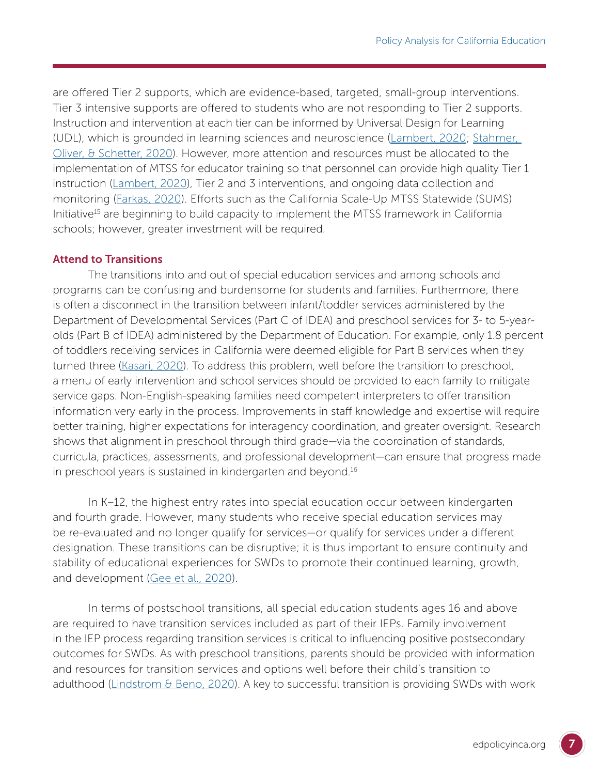are offered Tier 2 supports, which are evidence-based, targeted, small-group interventions. Tier 3 intensive supports are offered to students who are not responding to Tier 2 supports. Instruction and intervention at each tier can be informed by Universal Design for Learning (UDL), which is grounded in learning sciences and neuroscience [\(Lambert, 2020;](https://edpolicyinca.org/publications/increasing-access-universally-designed-mathematics-classrooms) [Stahmer,](https://edpolicyinca.org/publications/improving-education-california-students-professional-development)  [Oliver, & Schetter, 2020](https://edpolicyinca.org/publications/improving-education-california-students-professional-development)). However, more attention and resources must be allocated to the implementation of MTSS for educator training so that personnel can provide high quality Tier 1 instruction [\(Lambert, 2020](https://edpolicyinca.org/publications/increasing-access-universally-designed-mathematics-classrooms)), Tier 2 and 3 interventions, and ongoing data collection and monitoring [\(Farkas, 2020](https://edpolicyinca.org/publications/achievement-gaps-and-MTSS)). Efforts such as the California Scale-Up MTSS Statewide (SUMS) Initiative<sup>15</sup> are beginning to build capacity to implement the MTSS framework in California schools; however, greater investment will be required.

#### Attend to Transitions

The transitions into and out of special education services and among schools and programs can be confusing and burdensome for students and families. Furthermore, there is often a disconnect in the transition between infant/toddler services administered by the Department of Developmental Services (Part C of IDEA) and preschool services for 3- to 5-yearolds (Part B of IDEA) administered by the Department of Education. For example, only 1.8 percent of toddlers receiving services in California were deemed eligible for Part B services when they turned three [\(Kasari, 2020](https://edpolicyinca.org/publications/transition-preschool-children-disabilities)). To address this problem, well before the transition to preschool, a menu of early intervention and school services should be provided to each family to mitigate service gaps. Non-English-speaking families need competent interpreters to offer transition information very early in the process. Improvements in staff knowledge and expertise will require better training, higher expectations for interagency coordination, and greater oversight. Research shows that alignment in preschool through third grade—via the coordination of standards, curricula, practices, assessments, and professional development—can ensure that progress made in preschool years is sustained in kindergarten and beyond.<sup>16</sup>

In K–12, the highest entry rates into special education occur between kindergarten and fourth grade. However, many students who receive special education services may be re-evaluated and no longer qualify for services—or qualify for services under a different designation. These transitions can be disruptive; it is thus important to ensure continuity and stability of educational experiences for SWDs to promote their continued learning, growth, and development [\(Gee et al., 2020](https://edpolicyinca.org/publications/students-disabilities-core-districts)).

In terms of postschool transitions, all special education students ages 16 and above are required to have transition services included as part of their IEPs. Family involvement in the IEP process regarding transition services is critical to influencing positive postsecondary outcomes for SWDs. As with preschool transitions, parents should be provided with information and resources for transition services and options well before their child's transition to adulthood (Lindstrom  $\theta$  Beno, 2020). A key to successful transition is providing SWDs with work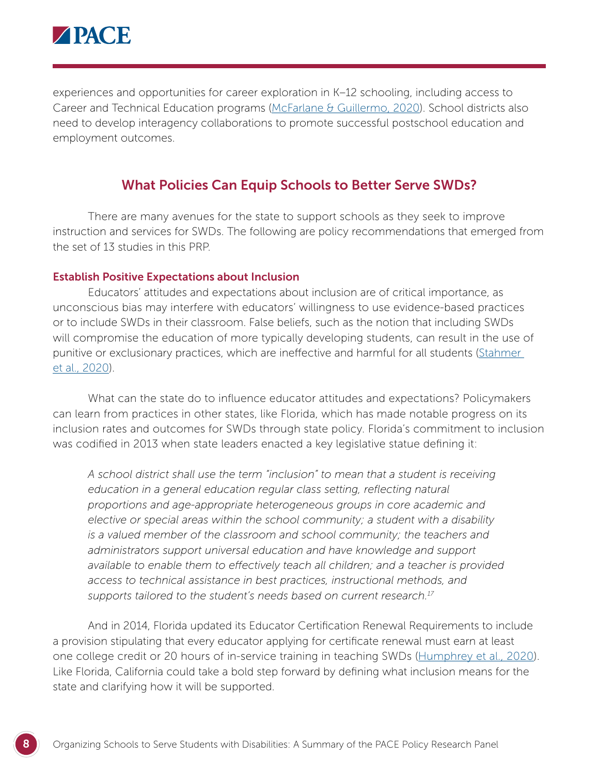

experiences and opportunities for career exploration in K–12 schooling, including access to Career and Technical Education programs ([McFarlane & Guillermo, 2020](https://edpolicyinca.org/publications/work-based-learning-students-disabilities)). School districts also need to develop interagency collaborations to promote successful postschool education and employment outcomes.

# What Policies Can Equip Schools to Better Serve SWDs?

There are many avenues for the state to support schools as they seek to improve instruction and services for SWDs. The following are policy recommendations that emerged from the set of 13 studies in this PRP.

#### Establish Positive Expectations about Inclusion

Educators' attitudes and expectations about inclusion are of critical importance, as unconscious bias may interfere with educators' willingness to use evidence-based practices or to include SWDs in their classroom. False beliefs, such as the notion that including SWDs will compromise the education of more typically developing students, can result in the use of punitive or exclusionary practices, which are ineffective and harmful for all students (Stahmer [et al., 2020](https://edpolicyinca.org/publications/improving-education-california-students-professional-development)).

What can the state do to influence educator attitudes and expectations? Policymakers can learn from practices in other states, like Florida, which has made notable progress on its inclusion rates and outcomes for SWDs through state policy. Florida's commitment to inclusion was codified in 2013 when state leaders enacted a key legislative statue defining it:

*A school district shall use the term "inclusion" to mean that a student is receiving*  education in a general education regular class setting, reflecting natural *proportions and age-appropriate heterogeneous groups in core academic and elective or special areas within the school community; a student with a disability is a valued member of the classroom and school community; the teachers and administrators support universal education and have knowledge and support available to enable them to effectively teach all children; and a teacher is provided access to technical assistance in best practices, instructional methods, and supports tailored to the student's needs based on current research.17*

And in 2014, Florida updated its Educator Certification Renewal Requirements to include a provision stipulating that every educator applying for certificate renewal must earn at least one college credit or 20 hours of in-service training in teaching SWDs ([Humphrey et al., 2020\)](https://edpolicyinca.org/publications/what-california-can-learn-other-states). Like Florida, California could take a bold step forward by defining what inclusion means for the state and clarifying how it will be supported.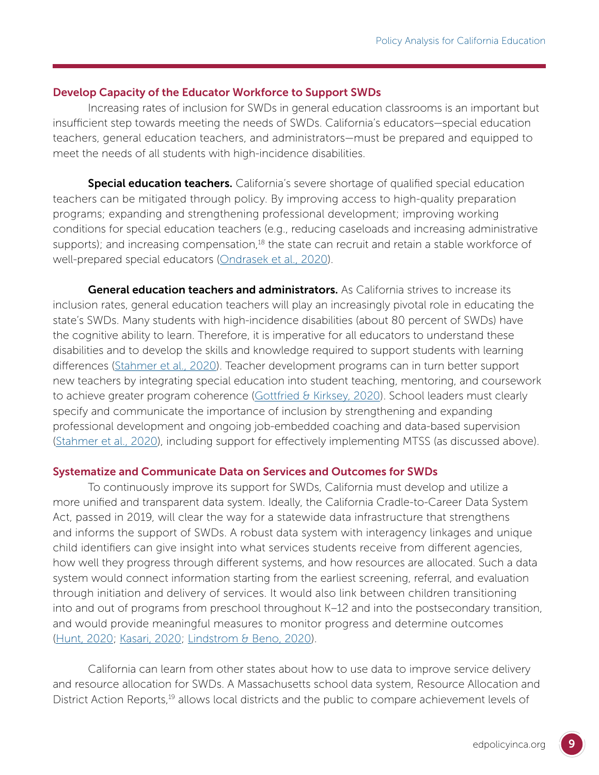#### Develop Capacity of the Educator Workforce to Support SWDs

Increasing rates of inclusion for SWDs in general education classrooms is an important but insufficient step towards meeting the needs of SWDs. California's educators—special education teachers, general education teachers, and administrators—must be prepared and equipped to meet the needs of all students with high-incidence disabilities.

**Special education teachers.** California's severe shortage of qualified special education teachers can be mitigated through policy. By improving access to high-quality preparation programs; expanding and strengthening professional development; improving working conditions for special education teachers (e.g., reducing caseloads and increasing administrative supports); and increasing compensation,<sup>18</sup> the state can recruit and retain a stable workforce of well-prepared special educators ([Ondrasek et al., 2020\)](https://edpolicyinca.org/publications/californias-special-education-teacher-shortage).

General education teachers and administrators. As California strives to increase its inclusion rates, general education teachers will play an increasingly pivotal role in educating the state's SWDs. Many students with high-incidence disabilities (about 80 percent of SWDs) have the cognitive ability to learn. Therefore, it is imperative for all educators to understand these disabilities and to develop the skills and knowledge required to support students with learning differences [\(Stahmer et al., 2020](https://edpolicyinca.org/publications/improving-education-california-students-professional-development)). Teacher development programs can in turn better support new teachers by integrating special education into student teaching, mentoring, and coursework to achieve greater program coherence [\(Gottfried & Kirksey, 2020\)](https://edpolicyinca.org/publications/preparing-teachers-educate-students-learning-disabilities). School leaders must clearly specify and communicate the importance of inclusion by strengthening and expanding professional development and ongoing job-embedded coaching and data-based supervision [\(Stahmer et al., 2020](https://edpolicyinca.org/publications/improving-education-california-students-professional-development)), including support for effectively implementing MTSS (as discussed above).

#### Systematize and Communicate Data on Services and Outcomes for SWDs

To continuously improve its support for SWDs, California must develop and utilize a more unified and transparent data system. Ideally, the California Cradle-to-Career Data System Act, passed in 2019, will clear the way for a statewide data infrastructure that strengthens and informs the support of SWDs. A robust data system with interagency linkages and unique child identifiers can give insight into what services students receive from different agencies, how well they progress through different systems, and how resources are allocated. Such a data system would connect information starting from the earliest screening, referral, and evaluation through initiation and delivery of services. It would also link between children transitioning into and out of programs from preschool throughout K–12 and into the postsecondary transition, and would provide meaningful measures to monitor progress and determine outcomes [\(Hunt, 2020;](https://edpolicyinca.org/publications/identifying-young-children-early-intervention-california) [Kasari, 2020](https://edpolicyinca.org/publications/transition-preschool-children-disabilities); [Lindstrom & Beno, 2020](https://edpolicyinca.org/publications/promoting-successful-transitions-students-disabilities)).

California can learn from other states about how to use data to improve service delivery and resource allocation for SWDs. A Massachusetts school data system, Resource Allocation and District Action Reports,<sup>19</sup> allows local districts and the public to compare achievement levels of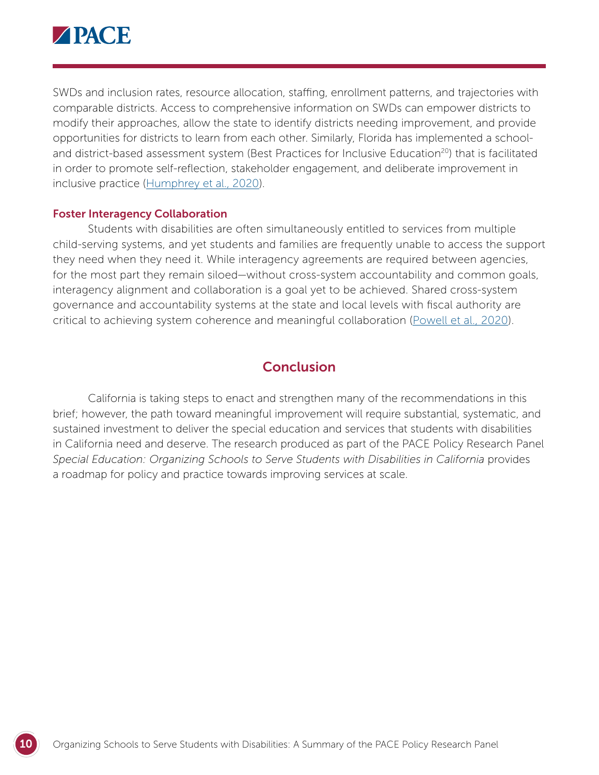

SWDs and inclusion rates, resource allocation, staffing, enrollment patterns, and trajectories with comparable districts. Access to comprehensive information on SWDs can empower districts to modify their approaches, allow the state to identify districts needing improvement, and provide opportunities for districts to learn from each other. Similarly, Florida has implemented a schooland district-based assessment system (Best Practices for Inclusive Education<sup>20</sup>) that is facilitated in order to promote self-reflection, stakeholder engagement, and deliberate improvement in inclusive practice [\(Humphrey et al., 2020\)](https://edpolicyinca.org/publications/what-california-can-learn-other-states).

#### Foster Interagency Collaboration

Students with disabilities are often simultaneously entitled to services from multiple child-serving systems, and yet students and families are frequently unable to access the support they need when they need it. While interagency agreements are required between agencies, for the most part they remain siloed—without cross-system accountability and common goals, interagency alignment and collaboration is a goal yet to be achieved. Shared cross-system governance and accountability systems at the state and local levels with fiscal authority are critical to achieving system coherence and meaningful collaboration ([Powell et al., 2020\)](https://edpolicyinca.org/publications/realizing-one-integrated-system-care-children).

# **Conclusion**

California is taking steps to enact and strengthen many of the recommendations in this brief; however, the path toward meaningful improvement will require substantial, systematic, and sustained investment to deliver the special education and services that students with disabilities in California need and deserve. The research produced as part of the PACE Policy Research Panel *Special Education: Organizing Schools to Serve Students with Disabilities in California* provides a roadmap for policy and practice towards improving services at scale.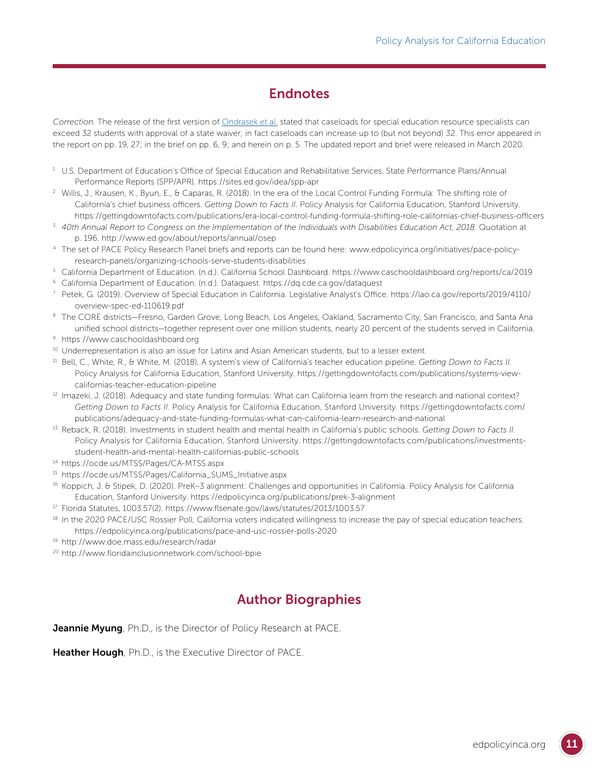# **Endnotes**

*Correction.* The release of the first versio[n of Ondrasek et](https://edpolicyinca.org/publications/californias-special-education-teacher-shortage) al. stated that caseloads for special education resource specialists can exceed 32 students with approval of a state waiver; in fact caseloads can increase up to (but not beyond) 32. This error appeared in the report on pp. 19, 27; in the brief on pp. 6, 9; and herein on p. 5. The updated report and brief were released in March 2020.

- <sup>1</sup> U.S. Department of Education's Office of Special Education and Rehabilitative Services. State Performance Plans/Annual Performance Reports (SPP/APR). https://sites.ed.gov/idea/spp-apr
- <sup>2</sup> Willis, J., Krausen, K., Byun, E., & Cap[aras, R. \(2018\). In the era of the L](https://sites.ed.gov/idea/spp-apr)ocal Control Funding Formula: The shifting role of California's chief business officers. *Getting Down to Facts II*. Policy Analysis for California Education, Stanford University. https://gettingdowntofacts.com/publications/era-local-control-funding-formula-shifting-role-californias-chief-business-officers
- <sup>3</sup> *40t[h Annual Report to Congress on the Implementation of the Individuals with Disabilities Education Act, 2018.](https://gettingdowntofacts.com/publications/era-local-control-funding-formula-shifting-role-californias-chief-business-officers)* Quotation at p. 196. http://www.ed.gov/about/reports/annual/osep
- <sup>4</sup> The set of [PACE Policy Research Panel briefs and reports c](http://www.ed.gov/about/reports/annual/osep)an be found here: www.edpolicyinca.org/initiatives/pace-policyresearch-panels/organizing-schools-serve-students-disabilities
- <sup>5</sup> Cal[ifornia Department of Education. \(n.d.\). California School Dash](http://www.edpolicyinca.org/initiatives/pace-policy-research-panels/organizing-schools-serve-students-disabilities)board. https://www.caschooldashboard.org/reports/ca/2019
- <sup>6</sup> California Department of Education. (n.d.). Dataquest. https://dq.cde.ca.[gov/dataquest](https://www.caschooldashboard.org/reports/ca/2019)
- <sup>7</sup> Petek, G. (2019). Overview of Special Education in Cal[ifornia. Legislative Analyst's Office](https://dq.cde.ca.gov/dataquest). https://lao.ca.gov/reports/2019/4110/ overview-spec-ed-110619.pdf
- <sup>8</sup> The CORE districts–Fresno, Garden Grove, Long Beach, Los Angeles, Oakland, Sacramento City, San Francisco, and Santa Ana unified school districts—together represent over one million students, nearly 20 percent of the students served in California.
- <sup>9</sup> https://www.caschooldashboard.org
- <sup>10</sup> [Underrepresentation is also an issue f](https://www.caschooldashboard.org)or Latinx and Asian American students, but to a lesser extent.
- <sup>11</sup> Bell, C., White, R., & White, M. (2018), A system's view of California's teacher education pipeline. *Getting Down to Facts II.* Policy Analysis for California Education, Stanford University. https://gettingdowntofacts.com/publications/systems-viewcalifornias-teacher-education-pipeline
- $12$  Im[azeki, J. \(2018\). Adequacy and state fun](https://gettingdowntofacts.com/publications/systems-view-californias-teacher-education-pipeline)ding formulas: What can California learn from the research and national context? *Getting Down to Facts II.* Policy Analysis for California Education, Stanford University. https://gettingdowntofacts.com/ publications/adequacy-and-state-funding-formulas-what-can-california-learn-research-[and-national](https://gettingdowntofacts.com/publications/adequacy-and-state-funding-formulas-what-can-california-learn-research-and-national)
- <sup>13</sup> Re[back, R. \(2018\). Investments in student health and mental health in California's public schools.](https://gettingdowntofacts.com/publications/adequacy-and-state-funding-formulas-what-can-california-learn-research-and-national) *Getting Down to Facts II.* Policy Analysis for California Education, Stanford University. https://gettingdowntofacts.com/publications/investmentsstudent-health-and-mental-health-californias-public-schools
- <sup>14</sup> htt[ps://ocde.us/MTSS/Pages/CA-MTSS.aspx](https://gettingdowntofacts.com/publications/investments-student-health-and-mental-health-californias-public-schools)
- <sup>15</sup> [https://ocde.us/MTSS/Pages/California\\_SUM](https://ocde.us/MTSS/Pages/CA-MTSS.aspx)S\_Initiative.aspx
- <sup>16</sup> [Koppich, J. & Stipek, D. \(2020\). PreK–3 alignment: Challenge](https://ocde.us/MTSS/Pages/California_SUMS_Initiative.aspx)s and opportunities in California. Policy Analysis for California Education, Stanford University. https://edpolicyinca.org/publications/prek-3-alignment
- <sup>17</sup> Florida Statutes, 1003.57(2). https:/[/www.flsenate.gov/laws/statutes/2013/1003.57](https://edpolicyinca.org/publications/prek-3-alignment)
- <sup>18</sup> In the 2020 PACE/USC Ros[sier Poll, California voters indicated willingness to incre](https://www.flsenate.gov/laws/statutes/2013/1003.57)ase the pay of special education teachers. https://edpolicyinca.org/publications/pace-and-usc-rossier-polls-2020
- <sup>19</sup> htt[p://www.doe.mass.edu/research/radar](https://edpolicyinca.org/publications/pace-and-usc-rossier-polls-2020)
- <sup>20</sup> [http://www.floridainclusionnetwork.com/](http://www.doe.mass.edu/research/radar)school-bpie

# Author Biographies

Jeannie Myung, Ph.D., is the Director of Policy Research at PACE.

Heather Hough, Ph.D., is the Executive Director of PACE.